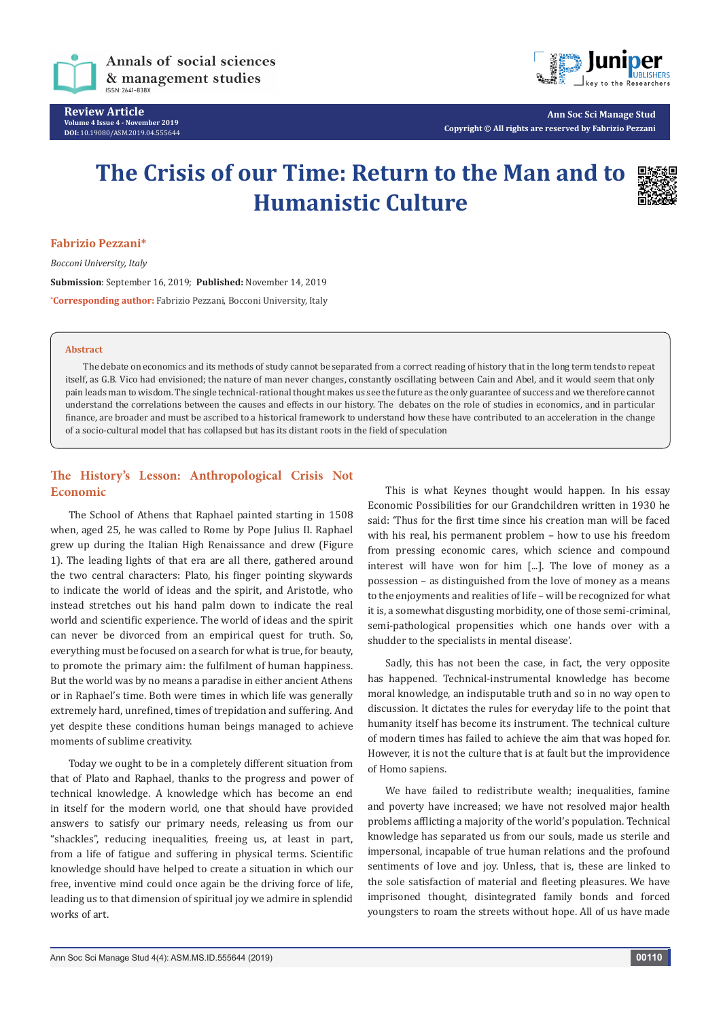

**Review Article Volume 4 Issue 4 - November 2019 DOI:** [10.19080/ASM.2019.04.555644](http://dx.doi.org/10.19080/ASM.2019.04.555644)



**Ann Soc Sci Manage Stud Copyright © All rights are reserved by Fabrizio Pezzani**

# **The Crisis of our Time: Return to the Man and to Humanistic Culture**



#### **Fabrizio Pezzani\***

*Bocconi University, Italy* **Submission**: September 16, 2019; **Published:** November 14, 2019 **\* Corresponding author:** Fabrizio Pezzani, Bocconi University, Italy

#### **Abstract**

The debate on economics and its methods of study cannot be separated from a correct reading of history that in the long term tends to repeat itself, as G.B. Vico had envisioned; the nature of man never changes, constantly oscillating between Cain and Abel, and it would seem that only pain leads man to wisdom. The single technical-rational thought makes us see the future as the only guarantee of success and we therefore cannot understand the correlations between the causes and effects in our history. The debates on the role of studies in economics, and in particular finance, are broader and must be ascribed to a historical framework to understand how these have contributed to an acceleration in the change of a socio-cultural model that has collapsed but has its distant roots in the field of speculation

### **The History's Lesson: Anthropological Crisis Not Economic**

The School of Athens that Raphael painted starting in 1508 when, aged 25, he was called to Rome by Pope Julius II. Raphael grew up during the Italian High Renaissance and drew (Figure 1). The leading lights of that era are all there, gathered around the two central characters: Plato, his finger pointing skywards to indicate the world of ideas and the spirit, and Aristotle, who instead stretches out his hand palm down to indicate the real world and scientific experience. The world of ideas and the spirit can never be divorced from an empirical quest for truth. So, everything must be focused on a search for what is true, for beauty, to promote the primary aim: the fulfilment of human happiness. But the world was by no means a paradise in either ancient Athens or in Raphael's time. Both were times in which life was generally extremely hard, unrefined, times of trepidation and suffering. And yet despite these conditions human beings managed to achieve moments of sublime creativity.

Today we ought to be in a completely different situation from that of Plato and Raphael, thanks to the progress and power of technical knowledge. A knowledge which has become an end in itself for the modern world, one that should have provided answers to satisfy our primary needs, releasing us from our "shackles", reducing inequalities, freeing us, at least in part, from a life of fatigue and suffering in physical terms. Scientific knowledge should have helped to create a situation in which our free, inventive mind could once again be the driving force of life, leading us to that dimension of spiritual joy we admire in splendid works of art.

This is what Keynes thought would happen. In his essay Economic Possibilities for our Grandchildren written in 1930 he said: 'Thus for the first time since his creation man will be faced with his real, his permanent problem – how to use his freedom from pressing economic cares, which science and compound interest will have won for him [...]. The love of money as a possession – as distinguished from the love of money as a means to the enjoyments and realities of life – will be recognized for what it is, a somewhat disgusting morbidity, one of those semi-criminal, semi-pathological propensities which one hands over with a shudder to the specialists in mental disease'.

Sadly, this has not been the case, in fact, the very opposite has happened. Technical-instrumental knowledge has become moral knowledge, an indisputable truth and so in no way open to discussion. It dictates the rules for everyday life to the point that humanity itself has become its instrument. The technical culture of modern times has failed to achieve the aim that was hoped for. However, it is not the culture that is at fault but the improvidence of Homo sapiens.

We have failed to redistribute wealth; inequalities, famine and poverty have increased; we have not resolved major health problems afflicting a majority of the world's population. Technical knowledge has separated us from our souls, made us sterile and impersonal, incapable of true human relations and the profound sentiments of love and joy. Unless, that is, these are linked to the sole satisfaction of material and fleeting pleasures. We have imprisoned thought, disintegrated family bonds and forced youngsters to roam the streets without hope. All of us have made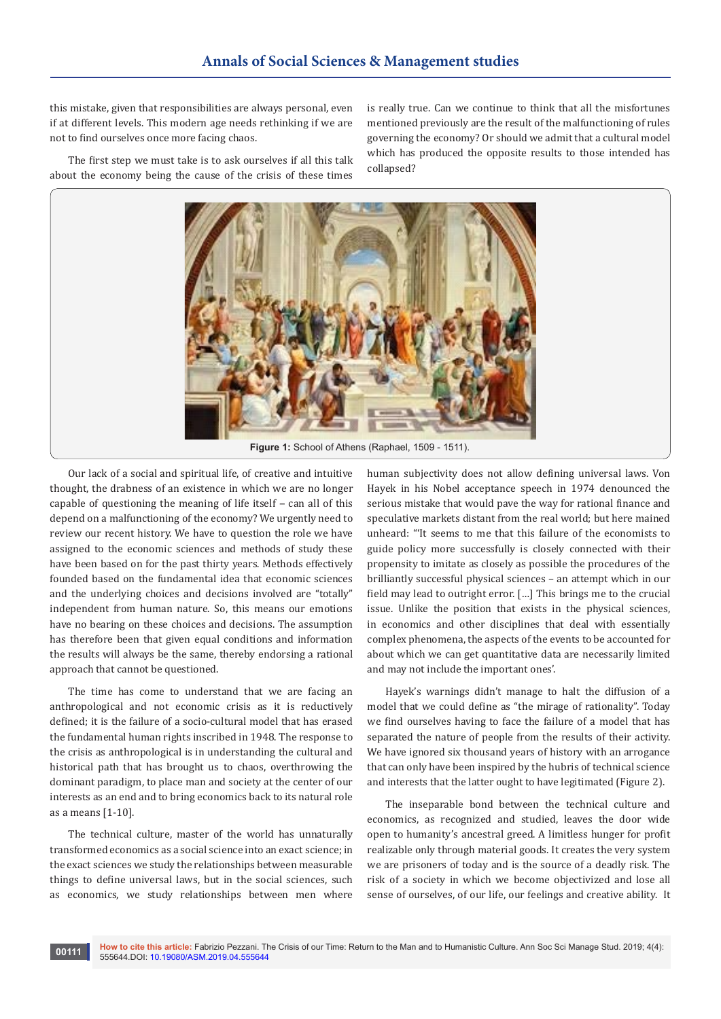this mistake, given that responsibilities are always personal, even if at different levels. This modern age needs rethinking if we are not to find ourselves once more facing chaos.

The first step we must take is to ask ourselves if all this talk about the economy being the cause of the crisis of these times

is really true. Can we continue to think that all the misfortunes mentioned previously are the result of the malfunctioning of rules governing the economy? Or should we admit that a cultural model which has produced the opposite results to those intended has collapsed?



Our lack of a social and spiritual life, of creative and intuitive thought, the drabness of an existence in which we are no longer capable of questioning the meaning of life itself  $-$  can all of this depend on a malfunctioning of the economy? We urgently need to review our recent history. We have to question the role we have assigned to the economic sciences and methods of study these have been based on for the past thirty years. Methods effectively founded based on the fundamental idea that economic sciences and the underlying choices and decisions involved are "totally" independent from human nature. So, this means our emotions have no bearing on these choices and decisions. The assumption has therefore been that given equal conditions and information the results will always be the same, thereby endorsing a rational approach that cannot be questioned.

The time has come to understand that we are facing an anthropological and not economic crisis as it is reductively defined; it is the failure of a socio-cultural model that has erased the fundamental human rights inscribed in 1948. The response to the crisis as anthropological is in understanding the cultural and historical path that has brought us to chaos, overthrowing the dominant paradigm, to place man and society at the center of our interests as an end and to bring economics back to its natural role as a means [1-10].

The technical culture, master of the world has unnaturally transformed economics as a social science into an exact science; in the exact sciences we study the relationships between measurable things to define universal laws, but in the social sciences, such as economics, we study relationships between men where

human subjectivity does not allow defining universal laws. Von Hayek in his Nobel acceptance speech in 1974 denounced the serious mistake that would pave the way for rational finance and speculative markets distant from the real world; but here mained unheard: "'It seems to me that this failure of the economists to guide policy more successfully is closely connected with their propensity to imitate as closely as possible the procedures of the brilliantly successful physical sciences – an attempt which in our field may lead to outright error. […] This brings me to the crucial issue. Unlike the position that exists in the physical sciences, in economics and other disciplines that deal with essentially complex phenomena, the aspects of the events to be accounted for about which we can get quantitative data are necessarily limited and may not include the important ones'.

Hayek's warnings didn't manage to halt the diffusion of a model that we could define as "the mirage of rationality". Today we find ourselves having to face the failure of a model that has separated the nature of people from the results of their activity. We have ignored six thousand years of history with an arrogance that can only have been inspired by the hubris of technical science and interests that the latter ought to have legitimated (Figure 2).

The inseparable bond between the technical culture and economics, as recognized and studied, leaves the door wide open to humanity's ancestral greed. A limitless hunger for profit realizable only through material goods. It creates the very system we are prisoners of today and is the source of a deadly risk. The risk of a society in which we become objectivized and lose all sense of ourselves, of our life, our feelings and creative ability. It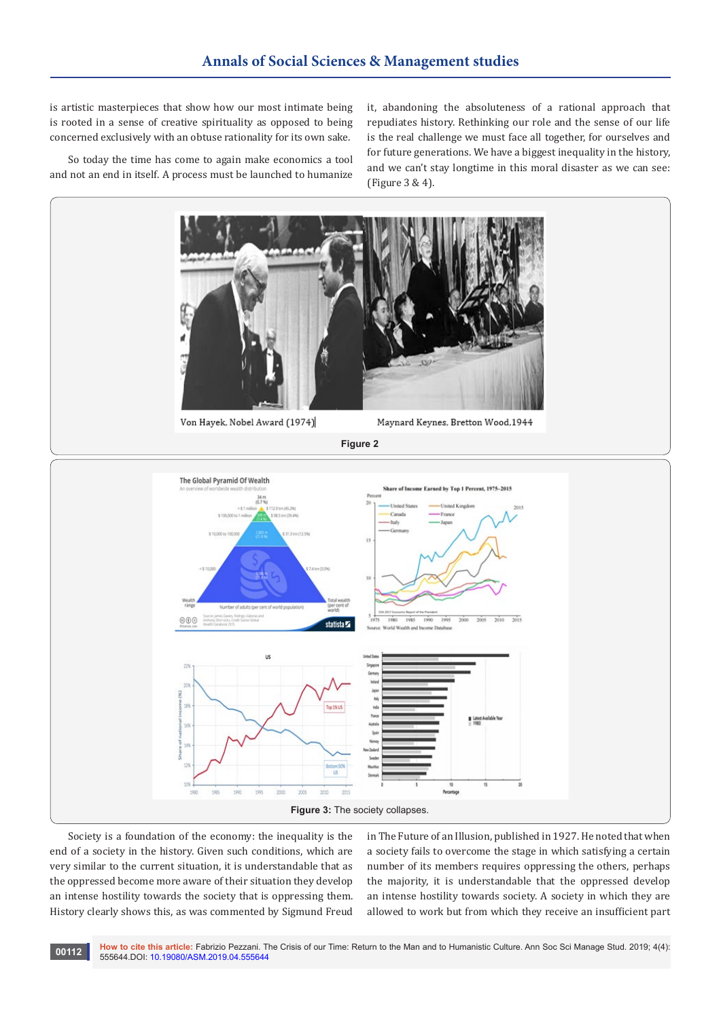is artistic masterpieces that show how our most intimate being is rooted in a sense of creative spirituality as opposed to being concerned exclusively with an obtuse rationality for its own sake.

So today the time has come to again make economics a tool and not an end in itself. A process must be launched to humanize it, abandoning the absoluteness of a rational approach that repudiates history. Rethinking our role and the sense of our life is the real challenge we must face all together, for ourselves and for future generations. We have a biggest inequality in the history, and we can't stay longtime in this moral disaster as we can see: (Figure 3 & 4).



Society is a foundation of the economy: the inequality is the end of a society in the history. Given such conditions, which are very similar to the current situation, it is understandable that as the oppressed become more aware of their situation they develop an intense hostility towards the society that is oppressing them. History clearly shows this, as was commented by Sigmund Freud

in The Future of an Illusion, published in 1927. He noted that when a society fails to overcome the stage in which satisfying a certain number of its members requires oppressing the others, perhaps the majority, it is understandable that the oppressed develop an intense hostility towards society. A society in which they are allowed to work but from which they receive an insufficient part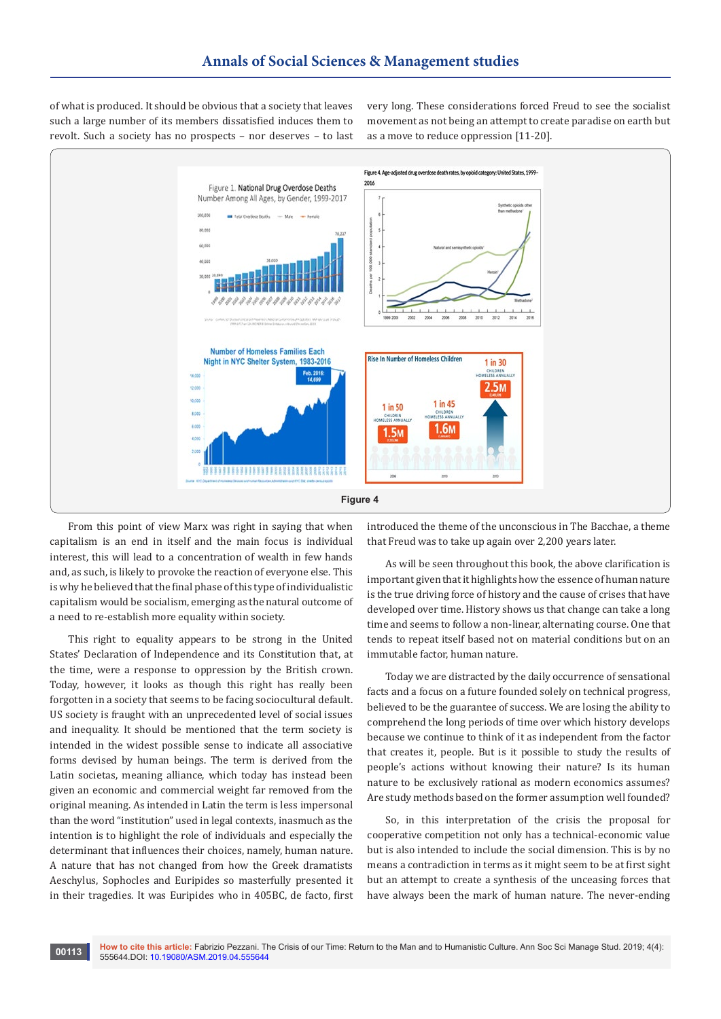of what is produced. It should be obvious that a society that leaves such a large number of its members dissatisfied induces them to revolt. Such a society has no prospects – nor deserves – to last very long. These considerations forced Freud to see the socialist movement as not being an attempt to create paradise on earth but as a move to reduce oppression [11-20].



From this point of view Marx was right in saying that when capitalism is an end in itself and the main focus is individual interest, this will lead to a concentration of wealth in few hands and, as such, is likely to provoke the reaction of everyone else. This is why he believed that the final phase of this type of individualistic capitalism would be socialism, emerging as the natural outcome of a need to re-establish more equality within society.

This right to equality appears to be strong in the United States' Declaration of Independence and its Constitution that, at the time, were a response to oppression by the British crown. Today, however, it looks as though this right has really been forgotten in a society that seems to be facing sociocultural default. US society is fraught with an unprecedented level of social issues and inequality. It should be mentioned that the term society is intended in the widest possible sense to indicate all associative forms devised by human beings. The term is derived from the Latin societas, meaning alliance, which today has instead been given an economic and commercial weight far removed from the original meaning. As intended in Latin the term is less impersonal than the word "institution" used in legal contexts, inasmuch as the intention is to highlight the role of individuals and especially the determinant that influences their choices, namely, human nature. A nature that has not changed from how the Greek dramatists Aeschylus, Sophocles and Euripides so masterfully presented it in their tragedies. It was Euripides who in 405BC, de facto, first

introduced the theme of the unconscious in The Bacchae, a theme that Freud was to take up again over 2,200 years later.

As will be seen throughout this book, the above clarification is important given that it highlights how the essence of human nature is the true driving force of history and the cause of crises that have developed over time. History shows us that change can take a long time and seems to follow a non-linear, alternating course. One that tends to repeat itself based not on material conditions but on an immutable factor, human nature.

Today we are distracted by the daily occurrence of sensational facts and a focus on a future founded solely on technical progress, believed to be the guarantee of success. We are losing the ability to comprehend the long periods of time over which history develops because we continue to think of it as independent from the factor that creates it, people. But is it possible to study the results of people's actions without knowing their nature? Is its human nature to be exclusively rational as modern economics assumes? Are study methods based on the former assumption well founded?

So, in this interpretation of the crisis the proposal for cooperative competition not only has a technical-economic value but is also intended to include the social dimension. This is by no means a contradiction in terms as it might seem to be at first sight but an attempt to create a synthesis of the unceasing forces that have always been the mark of human nature. The never-ending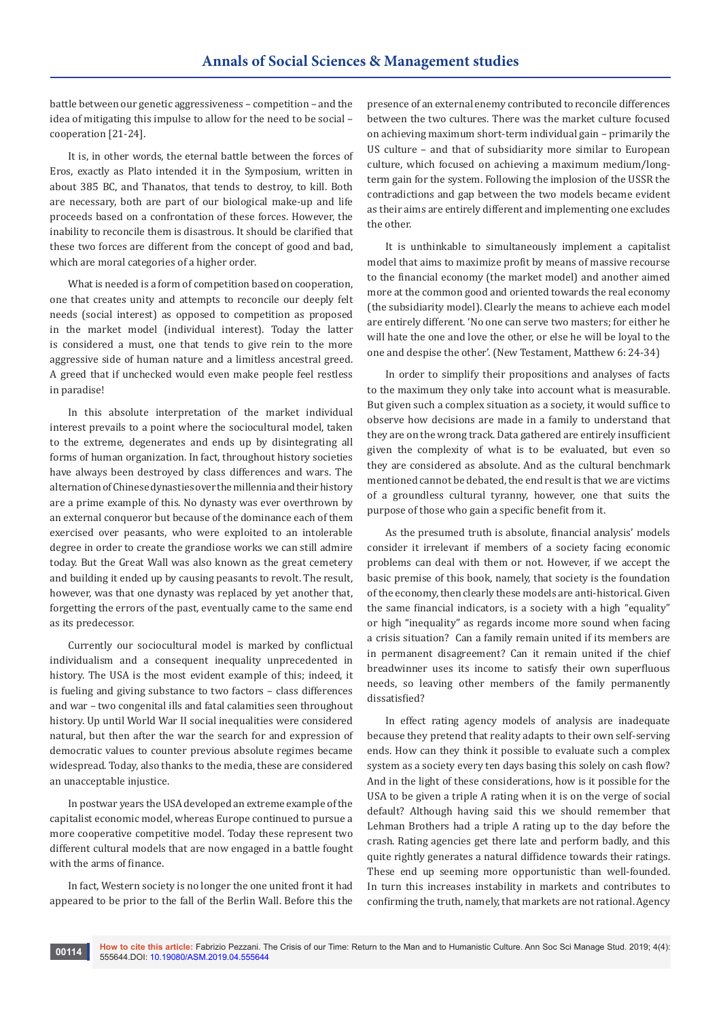battle between our genetic aggressiveness – competition – and the idea of mitigating this impulse to allow for the need to be social – cooperation [21-24].

It is, in other words, the eternal battle between the forces of Eros, exactly as Plato intended it in the Symposium, written in about 385 BC, and Thanatos, that tends to destroy, to kill. Both are necessary, both are part of our biological make-up and life proceeds based on a confrontation of these forces. However, the inability to reconcile them is disastrous. It should be clarified that these two forces are different from the concept of good and bad, which are moral categories of a higher order.

What is needed is a form of competition based on cooperation, one that creates unity and attempts to reconcile our deeply felt needs (social interest) as opposed to competition as proposed in the market model (individual interest). Today the latter is considered a must, one that tends to give rein to the more aggressive side of human nature and a limitless ancestral greed. A greed that if unchecked would even make people feel restless in paradise!

In this absolute interpretation of the market individual interest prevails to a point where the sociocultural model, taken to the extreme, degenerates and ends up by disintegrating all forms of human organization. In fact, throughout history societies have always been destroyed by class differences and wars. The alternation of Chinese dynasties over the millennia and their history are a prime example of this. No dynasty was ever overthrown by an external conqueror but because of the dominance each of them exercised over peasants, who were exploited to an intolerable degree in order to create the grandiose works we can still admire today. But the Great Wall was also known as the great cemetery and building it ended up by causing peasants to revolt. The result, however, was that one dynasty was replaced by yet another that, forgetting the errors of the past, eventually came to the same end as its predecessor.

Currently our sociocultural model is marked by conflictual individualism and a consequent inequality unprecedented in history. The USA is the most evident example of this; indeed, it is fueling and giving substance to two factors – class differences and war – two congenital ills and fatal calamities seen throughout history. Up until World War II social inequalities were considered natural, but then after the war the search for and expression of democratic values to counter previous absolute regimes became widespread. Today, also thanks to the media, these are considered an unacceptable injustice.

In postwar years the USA developed an extreme example of the capitalist economic model, whereas Europe continued to pursue a more cooperative competitive model. Today these represent two different cultural models that are now engaged in a battle fought with the arms of finance.

In fact, Western society is no longer the one united front it had appeared to be prior to the fall of the Berlin Wall. Before this the presence of an external enemy contributed to reconcile differences between the two cultures. There was the market culture focused on achieving maximum short-term individual gain – primarily the US culture – and that of subsidiarity more similar to European culture, which focused on achieving a maximum medium/longterm gain for the system. Following the implosion of the USSR the contradictions and gap between the two models became evident as their aims are entirely different and implementing one excludes the other.

It is unthinkable to simultaneously implement a capitalist model that aims to maximize profit by means of massive recourse to the financial economy (the market model) and another aimed more at the common good and oriented towards the real economy (the subsidiarity model). Clearly the means to achieve each model are entirely different. 'No one can serve two masters; for either he will hate the one and love the other, or else he will be loyal to the one and despise the other'. (New Testament, Matthew 6: 24-34)

In order to simplify their propositions and analyses of facts to the maximum they only take into account what is measurable. But given such a complex situation as a society, it would suffice to observe how decisions are made in a family to understand that they are on the wrong track. Data gathered are entirely insufficient given the complexity of what is to be evaluated, but even so they are considered as absolute. And as the cultural benchmark mentioned cannot be debated, the end result is that we are victims of a groundless cultural tyranny, however, one that suits the purpose of those who gain a specific benefit from it.

As the presumed truth is absolute, financial analysis' models consider it irrelevant if members of a society facing economic problems can deal with them or not. However, if we accept the basic premise of this book, namely, that society is the foundation of the economy, then clearly these models are anti-historical. Given the same financial indicators, is a society with a high "equality" or high "inequality" as regards income more sound when facing a crisis situation? Can a family remain united if its members are in permanent disagreement? Can it remain united if the chief breadwinner uses its income to satisfy their own superfluous needs, so leaving other members of the family permanently dissatisfied?

In effect rating agency models of analysis are inadequate because they pretend that reality adapts to their own self-serving ends. How can they think it possible to evaluate such a complex system as a society every ten days basing this solely on cash flow? And in the light of these considerations, how is it possible for the USA to be given a triple A rating when it is on the verge of social default? Although having said this we should remember that Lehman Brothers had a triple A rating up to the day before the crash. Rating agencies get there late and perform badly, and this quite rightly generates a natural diffidence towards their ratings. These end up seeming more opportunistic than well-founded. In turn this increases instability in markets and contributes to confirming the truth, namely, that markets are not rational. Agency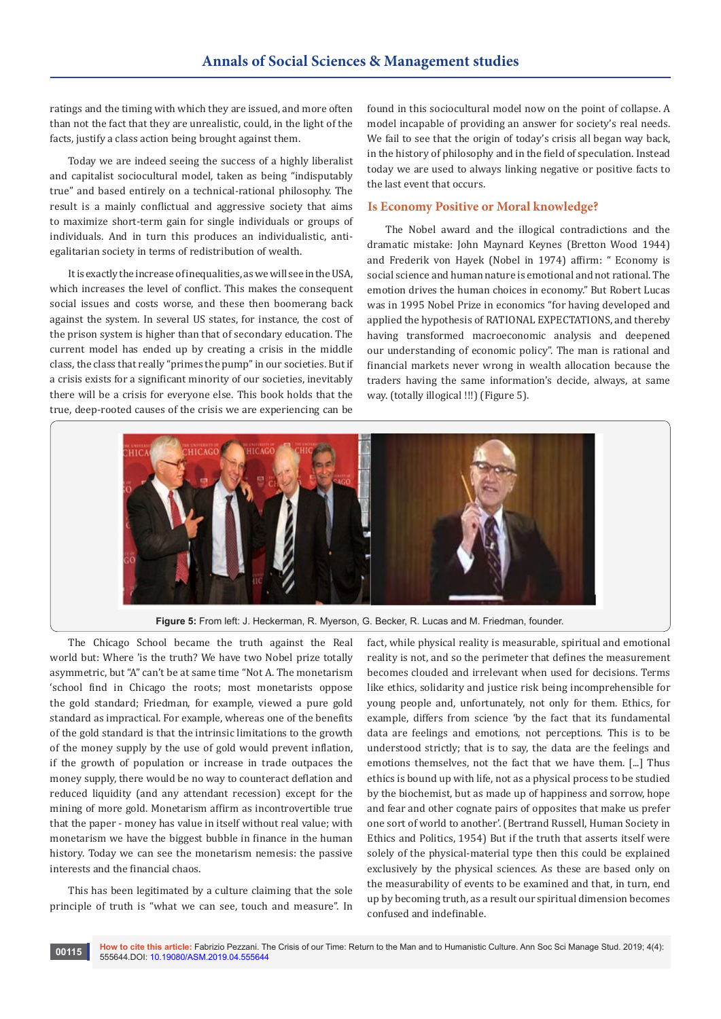ratings and the timing with which they are issued, and more often than not the fact that they are unrealistic, could, in the light of the facts, justify a class action being brought against them.

Today we are indeed seeing the success of a highly liberalist and capitalist sociocultural model, taken as being "indisputably true" and based entirely on a technical-rational philosophy. The result is a mainly conflictual and aggressive society that aims to maximize short-term gain for single individuals or groups of individuals. And in turn this produces an individualistic, antiegalitarian society in terms of redistribution of wealth.

It is exactly the increase of inequalities, as we will see in the USA, which increases the level of conflict. This makes the consequent social issues and costs worse, and these then boomerang back against the system. In several US states, for instance, the cost of the prison system is higher than that of secondary education. The current model has ended up by creating a crisis in the middle class, the class that really "primes the pump" in our societies. But if a crisis exists for a significant minority of our societies, inevitably there will be a crisis for everyone else. This book holds that the true, deep-rooted causes of the crisis we are experiencing can be

found in this sociocultural model now on the point of collapse. A model incapable of providing an answer for society's real needs. We fail to see that the origin of today's crisis all began way back, in the history of philosophy and in the field of speculation. Instead today we are used to always linking negative or positive facts to the last event that occurs.

#### **Is Economy Positive or Moral knowledge?**

The Nobel award and the illogical contradictions and the dramatic mistake: John Maynard Keynes (Bretton Wood 1944) and Frederik von Hayek (Nobel in 1974) affirm: " Economy is social science and human nature is emotional and not rational. The emotion drives the human choices in economy." But Robert Lucas was in 1995 Nobel Prize in economics "for having developed and applied the hypothesis of RATIONAL EXPECTATIONS, and thereby having transformed macroeconomic analysis and deepened our understanding of economic policy". The man is rational and financial markets never wrong in wealth allocation because the traders having the same information's decide, always, at same way. (totally illogical !!!) (Figure 5).



**Figure 5:** From left: J. Heckerman, R. Myerson, G. Becker, R. Lucas and M. Friedman, founder.

The Chicago School became the truth against the Real world but: Where 'is the truth? We have two Nobel prize totally asymmetric, but "A" can't be at same time "Not A. The monetarism 'school find in Chicago the roots; most monetarists oppose the gold standard; Friedman, for example, viewed a pure gold standard as impractical. For example, whereas one of the benefits of the gold standard is that the intrinsic limitations to the growth of the money supply by the use of gold would prevent inflation, if the growth of population or increase in trade outpaces the money supply, there would be no way to counteract deflation and reduced liquidity (and any attendant recession) except for the mining of more gold. Monetarism affirm as incontrovertible true that the paper - money has value in itself without real value; with monetarism we have the biggest bubble in finance in the human history. Today we can see the monetarism nemesis: the passive interests and the financial chaos.

This has been legitimated by a culture claiming that the sole principle of truth is "what we can see, touch and measure". In

fact, while physical reality is measurable, spiritual and emotional reality is not, and so the perimeter that defines the measurement becomes clouded and irrelevant when used for decisions. Terms like ethics, solidarity and justice risk being incomprehensible for young people and, unfortunately, not only for them. Ethics, for example, differs from science 'by the fact that its fundamental data are feelings and emotions, not perceptions. This is to be understood strictly; that is to say, the data are the feelings and emotions themselves, not the fact that we have them. [...] Thus ethics is bound up with life, not as a physical process to be studied by the biochemist, but as made up of happiness and sorrow, hope and fear and other cognate pairs of opposites that make us prefer one sort of world to another'. (Bertrand Russell, Human Society in Ethics and Politics, 1954) But if the truth that asserts itself were solely of the physical-material type then this could be explained exclusively by the physical sciences. As these are based only on the measurability of events to be examined and that, in turn, end up by becoming truth, as a result our spiritual dimension becomes confused and indefinable.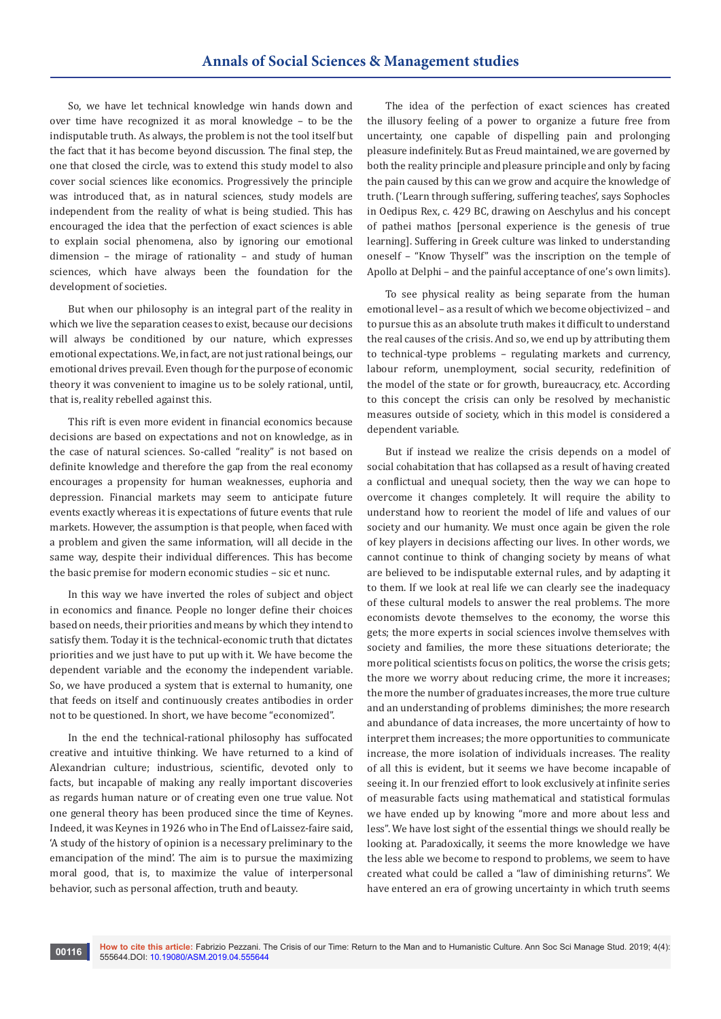So, we have let technical knowledge win hands down and over time have recognized it as moral knowledge – to be the indisputable truth. As always, the problem is not the tool itself but the fact that it has become beyond discussion. The final step, the one that closed the circle, was to extend this study model to also cover social sciences like economics. Progressively the principle was introduced that, as in natural sciences, study models are independent from the reality of what is being studied. This has encouraged the idea that the perfection of exact sciences is able to explain social phenomena, also by ignoring our emotional dimension – the mirage of rationality – and study of human sciences, which have always been the foundation for the development of societies.

But when our philosophy is an integral part of the reality in which we live the separation ceases to exist, because our decisions will always be conditioned by our nature, which expresses emotional expectations. We, in fact, are not just rational beings, our emotional drives prevail. Even though for the purpose of economic theory it was convenient to imagine us to be solely rational, until, that is, reality rebelled against this.

This rift is even more evident in financial economics because decisions are based on expectations and not on knowledge, as in the case of natural sciences. So-called "reality" is not based on definite knowledge and therefore the gap from the real economy encourages a propensity for human weaknesses, euphoria and depression. Financial markets may seem to anticipate future events exactly whereas it is expectations of future events that rule markets. However, the assumption is that people, when faced with a problem and given the same information, will all decide in the same way, despite their individual differences. This has become the basic premise for modern economic studies – sic et nunc.

In this way we have inverted the roles of subject and object in economics and finance. People no longer define their choices based on needs, their priorities and means by which they intend to satisfy them. Today it is the technical-economic truth that dictates priorities and we just have to put up with it. We have become the dependent variable and the economy the independent variable. So, we have produced a system that is external to humanity, one that feeds on itself and continuously creates antibodies in order not to be questioned. In short, we have become "economized".

In the end the technical-rational philosophy has suffocated creative and intuitive thinking. We have returned to a kind of Alexandrian culture; industrious, scientific, devoted only to facts, but incapable of making any really important discoveries as regards human nature or of creating even one true value. Not one general theory has been produced since the time of Keynes. Indeed, it was Keynes in 1926 who in The End of Laissez-faire said, 'A study of the history of opinion is a necessary preliminary to the emancipation of the mind'. The aim is to pursue the maximizing moral good, that is, to maximize the value of interpersonal behavior, such as personal affection, truth and beauty.

The idea of the perfection of exact sciences has created the illusory feeling of a power to organize a future free from uncertainty, one capable of dispelling pain and prolonging pleasure indefinitely. But as Freud maintained, we are governed by both the reality principle and pleasure principle and only by facing the pain caused by this can we grow and acquire the knowledge of truth. ('Learn through suffering, suffering teaches', says Sophocles in Oedipus Rex, c. 429 BC, drawing on Aeschylus and his concept of pathei mathos [personal experience is the genesis of true learning]. Suffering in Greek culture was linked to understanding oneself – "Know Thyself" was the inscription on the temple of Apollo at Delphi – and the painful acceptance of one's own limits).

To see physical reality as being separate from the human emotional level – as a result of which we become objectivized – and to pursue this as an absolute truth makes it difficult to understand the real causes of the crisis. And so, we end up by attributing them to technical-type problems – regulating markets and currency, labour reform, unemployment, social security, redefinition of the model of the state or for growth, bureaucracy, etc. According to this concept the crisis can only be resolved by mechanistic measures outside of society, which in this model is considered a dependent variable.

But if instead we realize the crisis depends on a model of social cohabitation that has collapsed as a result of having created a conflictual and unequal society, then the way we can hope to overcome it changes completely. It will require the ability to understand how to reorient the model of life and values of our society and our humanity. We must once again be given the role of key players in decisions affecting our lives. In other words, we cannot continue to think of changing society by means of what are believed to be indisputable external rules, and by adapting it to them. If we look at real life we can clearly see the inadequacy of these cultural models to answer the real problems. The more economists devote themselves to the economy, the worse this gets; the more experts in social sciences involve themselves with society and families, the more these situations deteriorate; the more political scientists focus on politics, the worse the crisis gets; the more we worry about reducing crime, the more it increases; the more the number of graduates increases, the more true culture and an understanding of problems diminishes; the more research and abundance of data increases, the more uncertainty of how to interpret them increases; the more opportunities to communicate increase, the more isolation of individuals increases. The reality of all this is evident, but it seems we have become incapable of seeing it. In our frenzied effort to look exclusively at infinite series of measurable facts using mathematical and statistical formulas we have ended up by knowing "more and more about less and less". We have lost sight of the essential things we should really be looking at. Paradoxically, it seems the more knowledge we have the less able we become to respond to problems, we seem to have created what could be called a "law of diminishing returns". We have entered an era of growing uncertainty in which truth seems